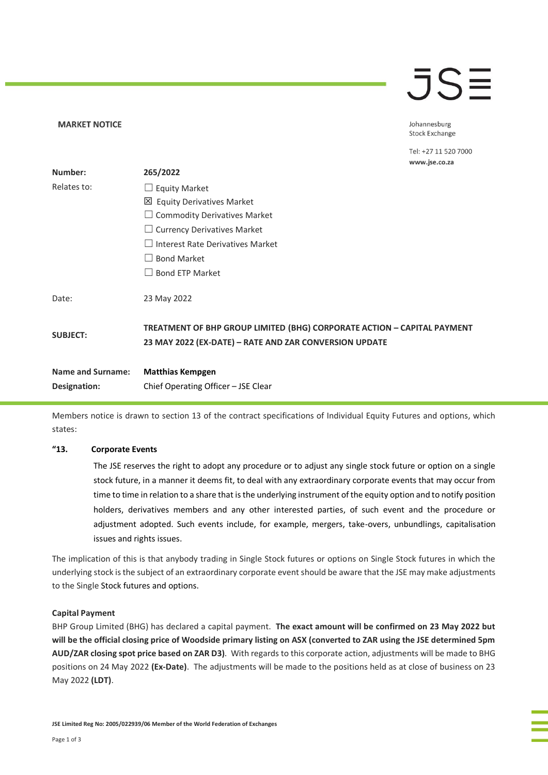## $\overline{\mathsf{J}}\mathsf{S}$

Johannesburg **Stock Exchange** 

Tel: +27 11 520 7000 www.jse.co.za

| Number:                  | 265/2022                                                                                                                          |
|--------------------------|-----------------------------------------------------------------------------------------------------------------------------------|
| Relates to:              | $\Box$ Equity Market                                                                                                              |
|                          | 凶 Equity Derivatives Market                                                                                                       |
|                          | $\Box$ Commodity Derivatives Market                                                                                               |
|                          | $\Box$ Currency Derivatives Market                                                                                                |
|                          | $\Box$ Interest Rate Derivatives Market                                                                                           |
|                          | <b>Bond Market</b>                                                                                                                |
|                          | <b>Bond ETP Market</b>                                                                                                            |
| Date:                    | 23 May 2022                                                                                                                       |
| <b>SUBJECT:</b>          | TREATMENT OF BHP GROUP LIMITED (BHG) CORPORATE ACTION - CAPITAL PAYMENT<br>23 MAY 2022 (EX-DATE) - RATE AND ZAR CONVERSION UPDATE |
| <b>Name and Surname:</b> | <b>Matthias Kempgen</b>                                                                                                           |
| Designation:             | Chief Operating Officer – JSE Clear                                                                                               |

Members notice is drawn to section 13 of the contract specifications of Individual Equity Futures and options, which states:

#### **"13. Corporate Events**

**MARKET NOTICE** 

The JSE reserves the right to adopt any procedure or to adjust any single stock future or option on a single stock future, in a manner it deems fit, to deal with any extraordinary corporate events that may occur from time to time in relation to a share that is the underlying instrument of the equity option and to notify position holders, derivatives members and any other interested parties, of such event and the procedure or adjustment adopted. Such events include, for example, mergers, take-overs, unbundlings, capitalisation issues and rights issues.

The implication of this is that anybody trading in Single Stock futures or options on Single Stock futures in which the underlying stock is the subject of an extraordinary corporate event should be aware that the JSE may make adjustments to the Single Stock futures and options.

#### **Capital Payment**

BHP Group Limited (BHG) has declared a capital payment. **The exact amount will be confirmed on 23 May 2022 but will be the official closing price of Woodside primary listing on ASX (converted to ZAR using the JSE determined 5pm AUD/ZAR closing spot price based on ZAR D3)**. With regards to this corporate action, adjustments will be made to BHG positions on 24 May 2022 **(Ex-Date)**. The adjustments will be made to the positions held as at close of business on 23 May 2022 **(LDT)**.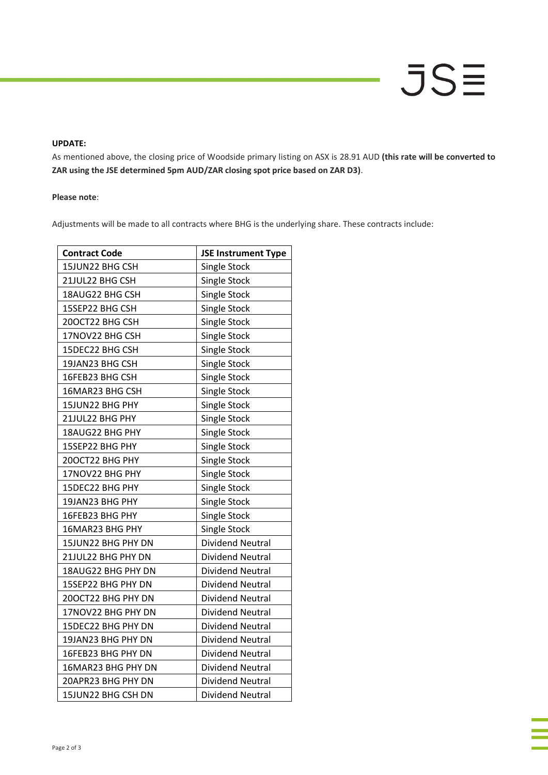#### **UPDATE:**

As mentioned above, the closing price of Woodside primary listing on ASX is 28.91 AUD **(this rate will be converted to ZAR using the JSE determined 5pm AUD/ZAR closing spot price based on ZAR D3)**.

#### **Please note**:

Adjustments will be made to all contracts where BHG is the underlying share. These contracts include:

| <b>Contract Code</b> | <b>JSE Instrument Type</b> |  |
|----------------------|----------------------------|--|
| 15JUN22 BHG CSH      | <b>Single Stock</b>        |  |
| 21JUL22 BHG CSH      | <b>Single Stock</b>        |  |
| 18AUG22 BHG CSH      | <b>Single Stock</b>        |  |
| 15SEP22 BHG CSH      | <b>Single Stock</b>        |  |
| 20OCT22 BHG CSH      | Single Stock               |  |
| 17NOV22 BHG CSH      | Single Stock               |  |
| 15DEC22 BHG CSH      | Single Stock               |  |
| 19JAN23 BHG CSH      | <b>Single Stock</b>        |  |
| 16FEB23 BHG CSH      | <b>Single Stock</b>        |  |
| 16MAR23 BHG CSH      | <b>Single Stock</b>        |  |
| 15JUN22 BHG PHY      | <b>Single Stock</b>        |  |
| 21JUL22 BHG PHY      | <b>Single Stock</b>        |  |
| 18AUG22 BHG PHY      | <b>Single Stock</b>        |  |
| 15SEP22 BHG PHY      | Single Stock               |  |
| 20OCT22 BHG PHY      | Single Stock               |  |
| 17NOV22 BHG PHY      | <b>Single Stock</b>        |  |
| 15DEC22 BHG PHY      | <b>Single Stock</b>        |  |
| 19JAN23 BHG PHY      | <b>Single Stock</b>        |  |
| 16FEB23 BHG PHY      | Single Stock               |  |
| 16MAR23 BHG PHY      | Single Stock               |  |
| 15JUN22 BHG PHY DN   | <b>Dividend Neutral</b>    |  |
| 21JUL22 BHG PHY DN   | <b>Dividend Neutral</b>    |  |
| 18AUG22 BHG PHY DN   | <b>Dividend Neutral</b>    |  |
| 15SEP22 BHG PHY DN   | <b>Dividend Neutral</b>    |  |
| 20OCT22 BHG PHY DN   | <b>Dividend Neutral</b>    |  |
| 17NOV22 BHG PHY DN   | <b>Dividend Neutral</b>    |  |
| 15DEC22 BHG PHY DN   | Dividend Neutral           |  |
| 19JAN23 BHG PHY DN   | <b>Dividend Neutral</b>    |  |
| 16FEB23 BHG PHY DN   | <b>Dividend Neutral</b>    |  |
| 16MAR23 BHG PHY DN   | <b>Dividend Neutral</b>    |  |
| 20APR23 BHG PHY DN   | <b>Dividend Neutral</b>    |  |
| 15JUN22 BHG CSH DN   | <b>Dividend Neutral</b>    |  |